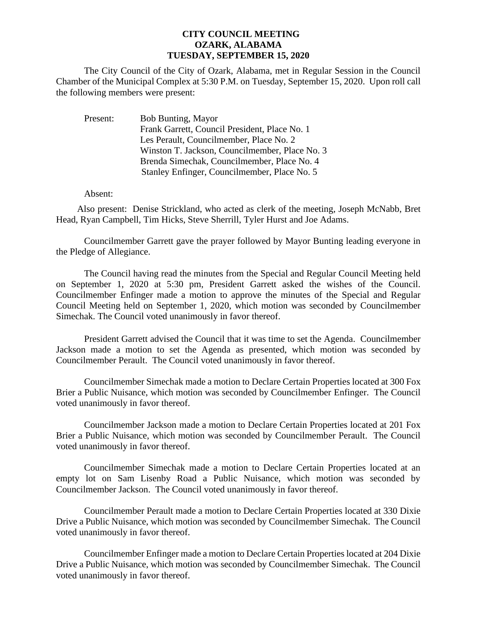## **CITY COUNCIL MEETING OZARK, ALABAMA TUESDAY, SEPTEMBER 15, 2020**

The City Council of the City of Ozark, Alabama, met in Regular Session in the Council Chamber of the Municipal Complex at 5:30 P.M. on Tuesday, September 15, 2020. Upon roll call the following members were present:

| Present: | <b>Bob Bunting, Mayor</b>                      |
|----------|------------------------------------------------|
|          | Frank Garrett, Council President, Place No. 1  |
|          | Les Perault, Councilmember, Place No. 2        |
|          | Winston T. Jackson, Councilmember, Place No. 3 |
|          | Brenda Simechak, Councilmember, Place No. 4    |
|          | Stanley Enfinger, Councilmember, Place No. 5   |

Absent:

Also present: Denise Strickland, who acted as clerk of the meeting, Joseph McNabb, Bret Head, Ryan Campbell, Tim Hicks, Steve Sherrill, Tyler Hurst and Joe Adams.

Councilmember Garrett gave the prayer followed by Mayor Bunting leading everyone in the Pledge of Allegiance.

The Council having read the minutes from the Special and Regular Council Meeting held on September 1, 2020 at 5:30 pm, President Garrett asked the wishes of the Council. Councilmember Enfinger made a motion to approve the minutes of the Special and Regular Council Meeting held on September 1, 2020, which motion was seconded by Councilmember Simechak. The Council voted unanimously in favor thereof.

President Garrett advised the Council that it was time to set the Agenda. Councilmember Jackson made a motion to set the Agenda as presented, which motion was seconded by Councilmember Perault. The Council voted unanimously in favor thereof.

Councilmember Simechak made a motion to Declare Certain Properties located at 300 Fox Brier a Public Nuisance, which motion was seconded by Councilmember Enfinger. The Council voted unanimously in favor thereof.

Councilmember Jackson made a motion to Declare Certain Properties located at 201 Fox Brier a Public Nuisance, which motion was seconded by Councilmember Perault. The Council voted unanimously in favor thereof.

Councilmember Simechak made a motion to Declare Certain Properties located at an empty lot on Sam Lisenby Road a Public Nuisance, which motion was seconded by Councilmember Jackson. The Council voted unanimously in favor thereof.

Councilmember Perault made a motion to Declare Certain Properties located at 330 Dixie Drive a Public Nuisance, which motion was seconded by Councilmember Simechak. The Council voted unanimously in favor thereof.

Councilmember Enfinger made a motion to Declare Certain Properties located at 204 Dixie Drive a Public Nuisance, which motion was seconded by Councilmember Simechak. The Council voted unanimously in favor thereof.